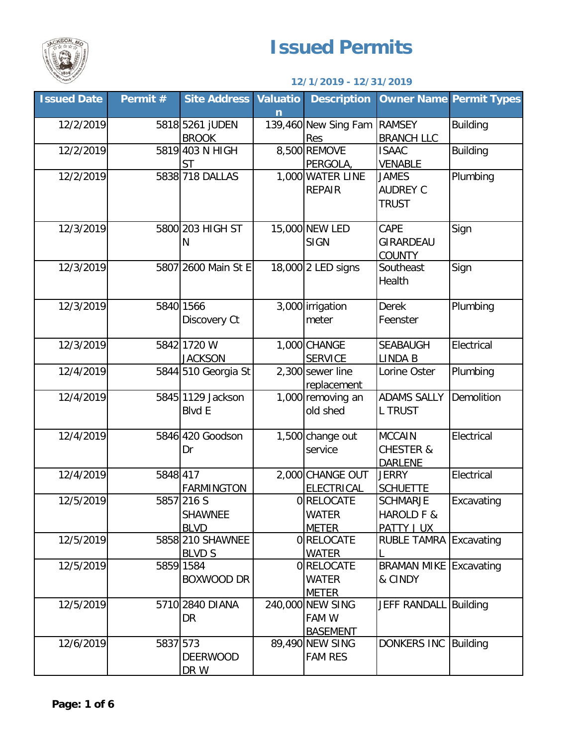

## **Issued Permits**

## **12/1/2019 - 12/31/2019**

| <b>Issued Date</b> | Permit # | <b>Site Address</b>                | <b>Valuatio</b><br>n | <b>Description</b>            |                                      | <b>Owner Name Permit Types</b> |
|--------------------|----------|------------------------------------|----------------------|-------------------------------|--------------------------------------|--------------------------------|
| 12/2/2019          |          | 5818 5261 JUDEN                    |                      | 139,460 New Sing Fam          | <b>RAMSEY</b>                        | <b>Building</b>                |
|                    |          | <b>BROOK</b>                       |                      | Res                           | <b>BRANCH LLC</b>                    |                                |
| 12/2/2019          |          | 5819 403 N HIGH                    |                      | 8,500 REMOVE                  | <b>ISAAC</b>                         | <b>Building</b>                |
|                    |          | <b>ST</b>                          |                      | PERGOLA,                      | <b>VENABLE</b>                       |                                |
| 12/2/2019          |          | 5838 718 DALLAS                    |                      | 1,000 WATER LINE              | <b>JAMES</b>                         | Plumbing                       |
|                    |          |                                    |                      | <b>REPAIR</b>                 | <b>AUDREY C</b>                      |                                |
|                    |          |                                    |                      |                               | <b>TRUST</b>                         |                                |
| 12/3/2019          |          | 5800 203 HIGH ST                   |                      | 15,000 NEW LED                | CAPE                                 | Sign                           |
|                    |          | Ν                                  |                      | <b>SIGN</b>                   | GIRARDEAU                            |                                |
|                    |          |                                    |                      |                               | <b>COUNTY</b>                        |                                |
| 12/3/2019          |          | 5807 2600 Main St E                |                      | 18,000 2 LED signs            | Southeast                            | Sign                           |
|                    |          |                                    |                      |                               | Health                               |                                |
| 12/3/2019          |          | 5840 1566                          |                      | 3,000 irrigation              | <b>Derek</b>                         | Plumbing                       |
|                    |          | Discovery Ct                       |                      | meter                         | Feenster                             |                                |
|                    |          |                                    |                      |                               |                                      |                                |
| 12/3/2019          |          | 5842 1720 W                        |                      | 1,000 CHANGE                  | <b>SEABAUGH</b>                      | Electrical                     |
|                    |          | <b>JACKSON</b>                     |                      | <b>SERVICE</b>                | <b>LINDA B</b>                       |                                |
| 12/4/2019          |          | 5844 510 Georgia St                |                      | 2,300 sewer line              | Lorine Oster                         | Plumbing                       |
|                    |          |                                    |                      | replacement                   |                                      |                                |
| 12/4/2019          |          | 5845 1129 Jackson<br><b>Blvd E</b> |                      | 1,000 removing an<br>old shed | <b>ADAMS SALLY</b><br><b>L TRUST</b> | Demolition                     |
|                    |          |                                    |                      |                               |                                      |                                |
| 12/4/2019          |          | 5846 420 Goodson                   |                      | 1,500 change out              | <b>MCCAIN</b>                        | Electrical                     |
|                    |          | Dr                                 |                      | service                       | <b>CHESTER &amp;</b>                 |                                |
|                    |          |                                    |                      |                               | <b>DARLENE</b>                       |                                |
| 12/4/2019          | 5848 417 |                                    |                      | 2,000 CHANGE OUT              | <b>JERRY</b>                         | Electrical                     |
|                    |          | <b>FARMINGTON</b>                  |                      | <b>ELECTRICAL</b>             | <b>SCHUETTE</b>                      |                                |
| 12/5/2019          |          | 5857 216 S                         |                      | 0 RELOCATE                    | <b>SCHMARJE</b>                      | Excavating                     |
|                    |          | <b>SHAWNEE</b>                     |                      | <b>WATER</b>                  | HAROLD F &                           |                                |
|                    |          | <b>BLVD</b><br>5858 210 SHAWNEE    |                      | <b>METER</b>                  | PATTY J UX                           |                                |
| 12/5/2019          |          | <b>BLVD S</b>                      |                      | 0RELOCATE<br><b>WATER</b>     | <b>RUBLE TAMRA Excavating</b>        |                                |
| 12/5/2019          |          | 5859 1584                          |                      | 0 RELOCATE                    | <b>BRAMAN MIKE Excavating</b>        |                                |
|                    |          | <b>BOXWOOD DR</b>                  |                      | WATER                         | & CINDY                              |                                |
|                    |          |                                    |                      | <b>METER</b>                  |                                      |                                |
| 12/5/2019          |          | 5710 2840 DIANA                    |                      | 240,000 NEW SING              | JEFF RANDALL Building                |                                |
|                    |          | DR                                 |                      | FAM W                         |                                      |                                |
|                    |          |                                    |                      | <b>BASEMENT</b>               |                                      |                                |
| 12/6/2019          | 5837 573 |                                    |                      | 89,490 NEW SING               | DONKERS INC Building                 |                                |
|                    |          | <b>DEERWOOD</b>                    |                      | <b>FAM RES</b>                |                                      |                                |
|                    |          | DR W                               |                      |                               |                                      |                                |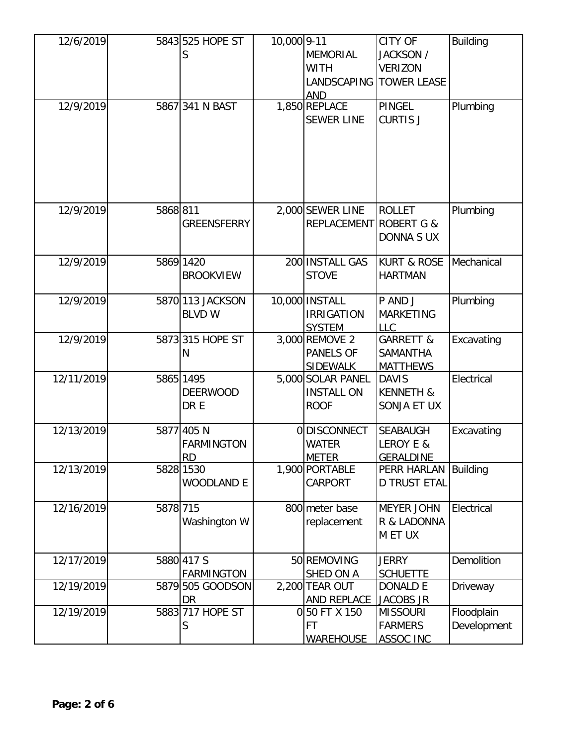| 12/6/2019  |          | 5843 525 HOPE ST   | 10,000 9-11 |                        | <b>CITY OF</b>         | <b>Building</b> |
|------------|----------|--------------------|-------------|------------------------|------------------------|-----------------|
|            |          | S                  |             | <b>MEMORIAL</b>        | JACKSON /              |                 |
|            |          |                    |             | WITH                   | <b>VERIZON</b>         |                 |
|            |          |                    |             | LANDSCAPING            | <b>TOWER LEASE</b>     |                 |
|            |          |                    |             | <b>AND</b>             |                        |                 |
| 12/9/2019  |          | 5867 341 N BAST    |             | 1,850 REPLACE          | <b>PINGEL</b>          | Plumbing        |
|            |          |                    |             | <b>SEWER LINE</b>      | <b>CURTIS J</b>        |                 |
|            |          |                    |             |                        |                        |                 |
|            |          |                    |             |                        |                        |                 |
|            |          |                    |             |                        |                        |                 |
|            |          |                    |             |                        |                        |                 |
|            |          |                    |             |                        |                        |                 |
|            |          |                    |             |                        |                        |                 |
| 12/9/2019  | 5868 811 |                    |             | 2,000 SEWER LINE       | <b>ROLLET</b>          | Plumbing        |
|            |          | <b>GREENSFERRY</b> |             | REPLACEMENT ROBERT G & |                        |                 |
|            |          |                    |             |                        | <b>DONNA S UX</b>      |                 |
|            |          |                    |             |                        |                        |                 |
| 12/9/2019  |          | 5869 1420          |             | 200 INSTALL GAS        | <b>KURT &amp; ROSE</b> | Mechanical      |
|            |          | <b>BROOKVIEW</b>   |             | <b>STOVE</b>           | <b>HARTMAN</b>         |                 |
|            |          |                    |             |                        |                        |                 |
| 12/9/2019  |          | 5870 113 JACKSON   |             | 10,000 INSTALL         | P AND J                | Plumbing        |
|            |          | <b>BLVD W</b>      |             | <b>IRRIGATION</b>      | <b>MARKETING</b>       |                 |
|            |          |                    |             | <b>SYSTEM</b>          | <b>LLC</b>             |                 |
| 12/9/2019  |          | 5873 315 HOPE ST   |             | 3,000 REMOVE 2         | <b>GARRETT &amp;</b>   | Excavating      |
|            |          | N                  |             | PANELS OF              | SAMANTHA               |                 |
|            |          |                    |             | <b>SIDEWALK</b>        | <b>MATTHEWS</b>        |                 |
| 12/11/2019 |          | 5865 1495          |             | 5,000 SOLAR PANEL      | <b>DAVIS</b>           | Electrical      |
|            |          | <b>DEERWOOD</b>    |             | <b>INSTALL ON</b>      | <b>KENNETH &amp;</b>   |                 |
|            |          | DR E               |             | <b>ROOF</b>            | SONJA ET UX            |                 |
|            |          |                    |             |                        |                        |                 |
| 12/13/2019 |          | 5877 405 N         |             | <b>ODISCONNECT</b>     | <b>SEABAUGH</b>        | Excavating      |
|            |          | <b>FARMINGTON</b>  |             | <b>WATER</b>           | LEROY E &              |                 |
|            |          | RD.                |             | <b>METER</b>           | <b>GERALDINE</b>       |                 |
| 12/13/2019 |          | 5828 1530          |             | 1,900 PORTABLE         | PERR HARLAN            | <b>Building</b> |
|            |          | <b>WOODLAND E</b>  |             | CARPORT                | <b>D TRUST ETAL</b>    |                 |
|            |          |                    |             |                        |                        |                 |
| 12/16/2019 | 5878 715 |                    |             | 800 meter base         | <b>MEYER JOHN</b>      | Electrical      |
|            |          | Washington W       |             | replacement            | R & LADONNA            |                 |
|            |          |                    |             |                        | M ET UX                |                 |
|            |          |                    |             |                        |                        |                 |
| 12/17/2019 |          | 5880 417 S         |             | 50 REMOVING            | <b>JERRY</b>           | Demolition      |
|            |          | <b>FARMINGTON</b>  |             | SHED ON A              | <b>SCHUETTE</b>        |                 |
| 12/19/2019 |          | 5879 505 GOODSON   |             | 2,200 TEAR OUT         | DONALD E               | Driveway        |
|            |          | DR                 |             | <b>AND REPLACE</b>     | <b>JACOBS JR</b>       |                 |
| 12/19/2019 |          | 5883 717 HOPE ST   |             | 0 50 FT X 150          | <b>MISSOURI</b>        | Floodplain      |
|            |          | S                  |             | FT                     | <b>FARMERS</b>         | Development     |
|            |          |                    |             | <b>WAREHOUSE</b>       | <b>ASSOC INC</b>       |                 |
|            |          |                    |             |                        |                        |                 |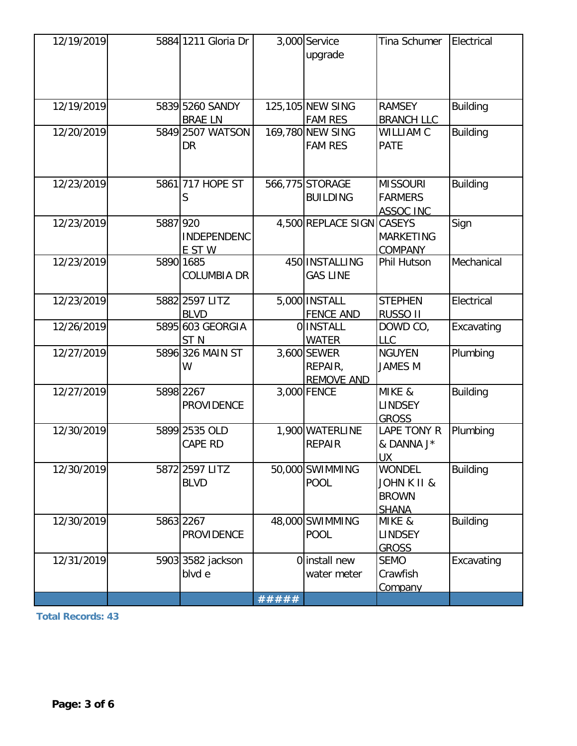| 12/19/2019 |          | 5884 1211 Gloria Dr                 |       | 3,000 Service<br>upgrade                    | Tina Schumer                                                            | Electrical      |
|------------|----------|-------------------------------------|-------|---------------------------------------------|-------------------------------------------------------------------------|-----------------|
| 12/19/2019 |          | 5839 5260 SANDY<br><b>BRAE LN</b>   |       | 125,105 NEW SING<br><b>FAM RES</b>          | <b>RAMSEY</b><br><b>BRANCH LLC</b>                                      | <b>Building</b> |
| 12/20/2019 |          | 5849 2507 WATSON<br>DR              |       | 169,780 NEW SING<br><b>FAM RES</b>          | WILLIAM C<br><b>PATE</b>                                                | <b>Building</b> |
| 12/23/2019 |          | 5861 717 HOPE ST<br>S               |       | 566,775 STORAGE<br><b>BUILDING</b>          | <b>MISSOURI</b><br><b>FARMERS</b><br><b>ASSOC INC</b>                   | <b>Building</b> |
| 12/23/2019 | 5887 920 | <b>INDEPENDENC</b><br>E ST W        |       | 4,500 REPLACE SIGN                          | <b>CASEYS</b><br><b>MARKETING</b><br><b>COMPANY</b>                     | Sign            |
| 12/23/2019 |          | 5890 1685<br><b>COLUMBIA DR</b>     |       | 450 INSTALLING<br><b>GAS LINE</b>           | Phil Hutson                                                             | Mechanical      |
| 12/23/2019 |          | 5882 2597 LITZ<br><b>BLVD</b>       |       | 5,000 INSTALL<br><b>FENCE AND</b>           | <b>STEPHEN</b><br>RUSSO II                                              | Electrical      |
| 12/26/2019 |          | 5895 603 GEORGIA<br>ST <sub>N</sub> |       | <b>O</b> INSTALL<br><b>WATER</b>            | DOWD CO,<br><b>LLC</b>                                                  | Excavating      |
| 12/27/2019 |          | 5896 326 MAIN ST<br>W               |       | 3,600 SEWER<br>REPAIR,<br><b>REMOVE AND</b> | <b>NGUYEN</b><br><b>JAMES M</b>                                         | Plumbing        |
| 12/27/2019 |          | 5898 2267<br><b>PROVIDENCE</b>      |       | 3,000 FENCE                                 | MIKE &<br><b>LINDSEY</b><br><b>GROSS</b>                                | <b>Building</b> |
| 12/30/2019 |          | 5899 2535 OLD<br><b>CAPE RD</b>     |       | 1,900 WATERLINE<br><b>REPAIR</b>            | LAPE TONY R<br>& DANNA J*<br>UX.                                        | Plumbing        |
| 12/30/2019 |          | 5872 2597 LITZ<br><b>BLVD</b>       |       | 50,000 SWIMMING<br><b>POOL</b>              | <b>WONDEL</b><br><b>JOHN K II &amp;</b><br><b>BROWN</b><br><b>SHANA</b> | <b>Building</b> |
| 12/30/2019 |          | 5863 2267<br><b>PROVIDENCE</b>      |       | 48,000 SWIMMING<br><b>POOL</b>              | MIKE &<br><b>LINDSEY</b><br><b>GROSS</b>                                | <b>Building</b> |
| 12/31/2019 |          | 5903 3582 jackson<br>blvd e         |       | 0 install new<br>water meter                | <b>SEMO</b><br>Crawfish<br><b>Company</b>                               | Excavating      |
|            |          |                                     | ##### |                                             |                                                                         |                 |

**Total Records: 43**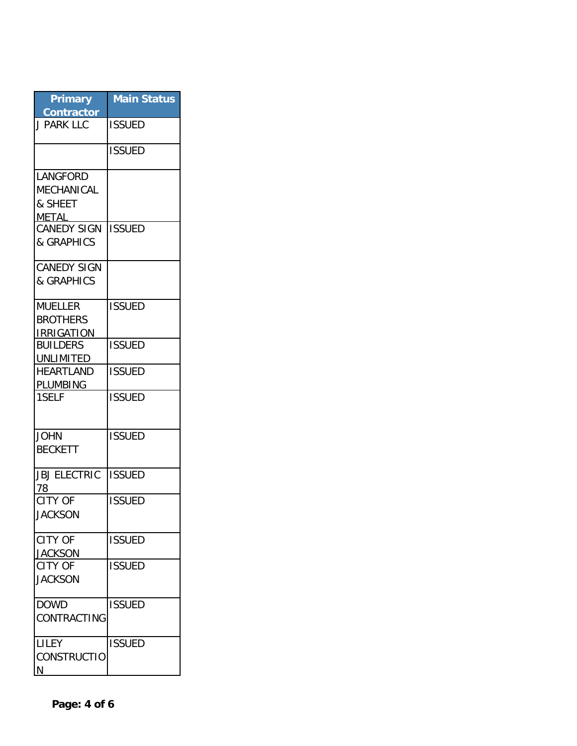| <b>Primary</b><br><b>Contractor</b>                                                          | <b>Main Status</b> |
|----------------------------------------------------------------------------------------------|--------------------|
| <b>J PARK LLC</b>                                                                            | <b>ISSUED</b>      |
|                                                                                              | <b>ISSUED</b>      |
| <b>LANGFORD</b><br>MECHANICAL<br>& SHEET<br><b>METAL</b><br><b>CANEDY SIGN</b><br>& GRAPHICS | <b>ISSUED</b>      |
| <b>CANEDY SIGN</b><br>& GRAPHICS                                                             |                    |
| <b>MUELLER</b><br><b>BROTHERS</b><br><b>IRRIGATION</b>                                       | <b>ISSUED</b>      |
| <b>BUILDERS</b><br>UNLIMITED                                                                 | <b>ISSUED</b>      |
| <b>HEARTLAND</b><br>PLUMBING                                                                 | <b>ISSUED</b>      |
| 1SELF                                                                                        | <b>ISSUED</b>      |
| <b>JOHN</b><br><b>BECKETT</b>                                                                | <b>ISSUED</b>      |
| <b>JBJ ELECTRIC</b><br>78                                                                    | <b>ISSUED</b>      |
| <b>CITY OF</b><br>JACKSON                                                                    | <b>ISSUED</b>      |
| <b>CITY OF</b><br><b>JACKSON</b>                                                             | <b>ISSUED</b>      |
| CITY OF<br><b>JACKSON</b>                                                                    | <b>ISSUED</b>      |
| <b>DOWD</b><br>CONTRACTING                                                                   | <b>ISSUED</b>      |
| LILEY<br><b>CONSTRUCTIO</b><br>N                                                             | <b>ISSUED</b>      |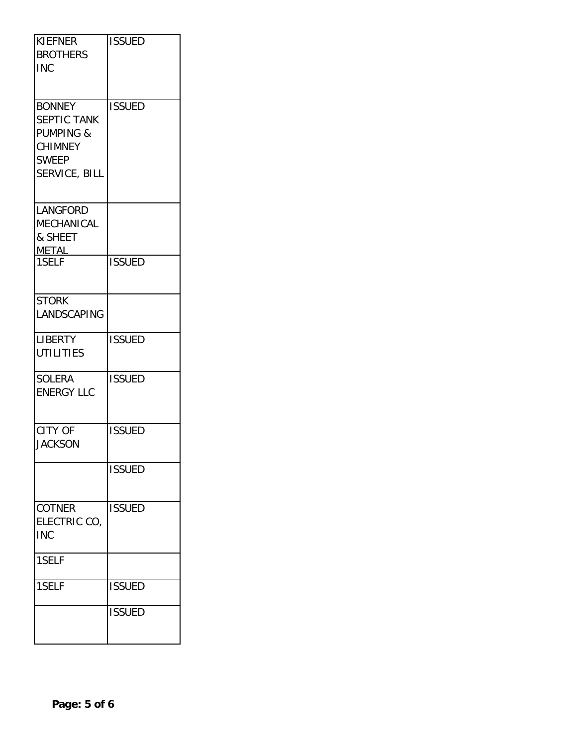| <b>KIEFNER</b><br><b>BROTHERS</b><br><b>INC</b>                                                         | <b>ISSUED</b> |
|---------------------------------------------------------------------------------------------------------|---------------|
| <b>BONNEY</b><br>SEPTIC TANK<br><b>PUMPING &amp;</b><br><b>CHIMNEY</b><br><b>SWEEP</b><br>SERVICE, BILL | <b>ISSUED</b> |
| <b>LANGFORD</b><br>MECHANICAL<br>& SHEET<br><b>METAL</b>                                                |               |
| 1SELF                                                                                                   | <b>ISSUED</b> |
| <b>STORK</b><br>LANDSCAPING                                                                             |               |
| <b>LIBERTY</b><br><b>UTILITIES</b>                                                                      | <b>ISSUED</b> |
| <b>SOLERA</b><br><b>ENERGY LLC</b>                                                                      | <b>ISSUED</b> |
| <b>CITY OF</b><br><b>JACKSON</b>                                                                        | <b>ISSUED</b> |
|                                                                                                         | <b>ISSUED</b> |
| <b>COTNER</b><br>ELECTRIC CO,<br><b>INC</b>                                                             | <b>ISSUED</b> |
| 1SELF                                                                                                   |               |
| 1SELF                                                                                                   | <b>ISSUED</b> |
|                                                                                                         | <b>ISSUED</b> |